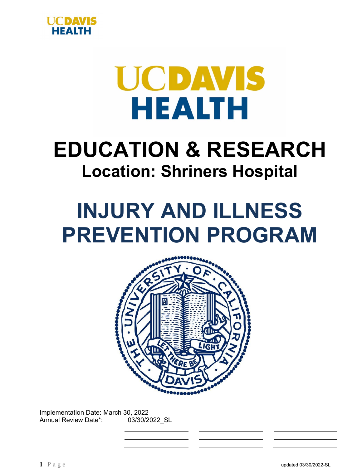



# **EDUCATION & RESEARCH Location: Shriners Hospital**

# **INJURY AND ILLNESS PREVENTION PROGRAM**



Implementation Date: March 30, 2022 Annual Review Date\*: 03/30/2022\_SL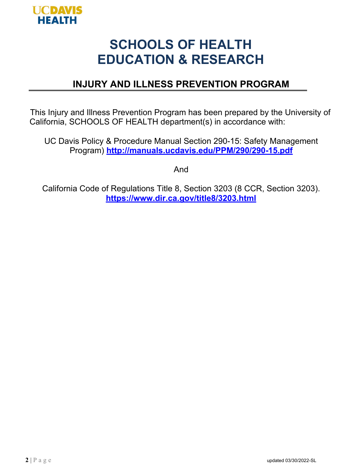

## **SCHOOLS OF HEALTH EDUCATION & RESEARCH**

## **INJURY AND ILLNESS PREVENTION PROGRAM**

This Injury and Illness Prevention Program has been prepared by the University of California, SCHOOLS OF HEALTH department(s) in accordance with:

UC Davis Policy & Procedure Manual Section 290-15: Safety Management Program) **<http://manuals.ucdavis.edu/PPM/290/290-15.pdf>**

And

California Code of Regulations Title 8, Section 3203 (8 CCR, Section 3203). **https:/[/www.dir.ca.gov/title8/3203.html](http://www.dir.ca.gov/title8/3203.html)**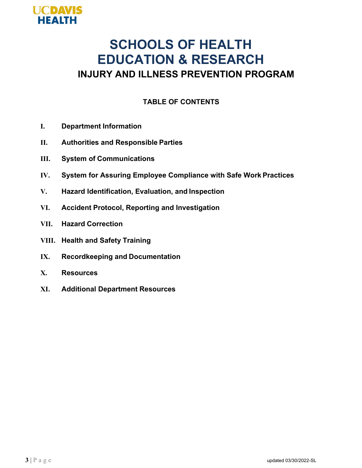

## **SCHOOLS OF HEALTH EDUCATION & RESEARCH INJURY AND ILLNESS PREVENTION PROGRAM**

#### **TABLE OF CONTENTS**

- **I. Department Information**
- **II. Authorities and Responsible Parties**
- **III. System of Communications**
- **IV. System for Assuring Employee Compliance with Safe Work Practices**
- **V. Hazard Identification, Evaluation, and Inspection**
- **VI. Accident Protocol, Reporting and Investigation**
- **VII. Hazard Correction**
- **VIII. Health and Safety Training**
- **IX. Recordkeeping and Documentation**
- **X. Resources**
- **XI. Additional Department Resources**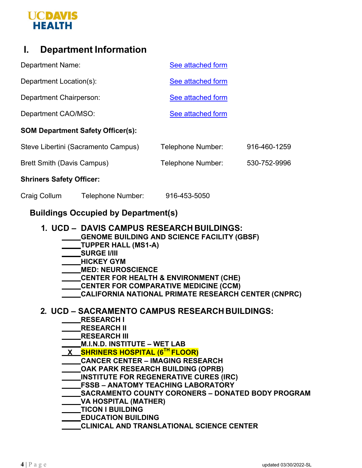## **UCDAVIS HEALTH**

## **I. Department Information**

| <b>Shriners Safety Officer:</b>          |                   |              |
|------------------------------------------|-------------------|--------------|
| <b>Brett Smith (Davis Campus)</b>        | Telephone Number: | 530-752-9996 |
| Steve Libertini (Sacramento Campus)      | Telephone Number: | 916-460-1259 |
| <b>SOM Department Safety Officer(s):</b> |                   |              |
| Department CAO/MSO:                      | See attached form |              |
| Department Chairperson:                  | See attached form |              |
| Department Location(s):                  | See attached form |              |
| <b>Department Name:</b>                  | See attached form |              |

Craig Collum Telephone Number: 916-453-5050

#### **Buildings Occupied by Department(s)**

#### **1. UCD – DAVIS CAMPUS RESEARCH BUILDINGS:**

- **GENOME BUILDING AND SCIENCE FACILITY (GBSF)**
- **TUPPER HALL (MS1-A)**
- **SURGE I/III**
- **MICKEY GYM**
- **MED: NEUROSCIENCE**
- **CENTER FOR HEALTH & ENVIRONMENT (CHE)**
- **CENTER FOR COMPARATIVE MEDICINE (CCM)**
- **CALIFORNIA NATIONAL PRIMATE RESEARCH CENTER (CNPRC)**

#### **2. UCD – SACRAMENTO CAMPUS RESEARCH BUILDINGS:**

- **RESEARCH I**
- **RESEARCH II**
- **RESEARCH III**
- **M.I.N.D. INSTITUTE WET LAB**
- **X SHRINERS HOSPITAL (6TH FLOOR)**
- **CANCER CENTER IMAGING RESEARCH**
- **OAK PARK RESEARCH BUILDING (OPRB)**
- **INSTITUTE FOR REGENERATIVE CURES (IRC)**
- **FSSB ANATOMY TEACHING LABORATORY**
- **SACRAMENTO COUNTY CORONERS DONATED BODY PROGRAM**
- **VA HOSPITAL (MATHER)**
- **TICON I BUILDING**
- **EDUCATION BUILDING**
- **CLINICAL AND TRANSLATIONAL SCIENCE CENTER**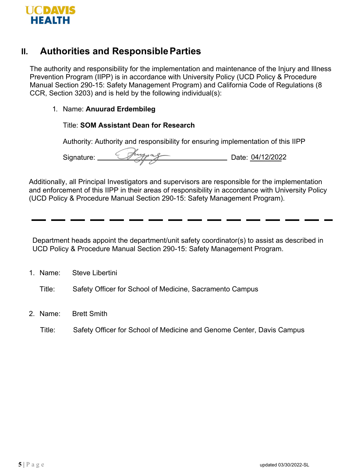

#### **II. Authorities and ResponsibleParties**

The authority and responsibility for the implementation and maintenance of the Injury and Illness Prevention Program (IIPP) is in accordance with University Policy (UCD Policy & Procedure Manual Section 290-15: Safety Management Program) and California Code of Regulations (8 CCR, Section 3203) and is held by the following individual(s):

#### 1. Name: **Anuurad Erdembileg**

#### Title: **SOM Assistant Dean for Research**

Authority: Authority and responsibility for ensuring implementation of this IIPP

Signature: <u>Company of Contractors</u> Date: 04/12/2022

Additionally, all Principal Investigators and supervisors are responsible for the implementation and enforcement of this IIPP in their areas of responsibility in accordance with University Policy (UCD Policy & Procedure Manual Section 290-15: Safety Management Program).

Department heads appoint the department/unit safety coordinator(s) to assist as described in UCD Policy & Procedure Manual Section 290-15: Safety Management Program.

1. Name: Steve Libertini

Title: Safety Officer for School of Medicine, Sacramento Campus

- 2. Name: Brett Smith
	- Title: Safety Officer for School of Medicine and Genome Center, Davis Campus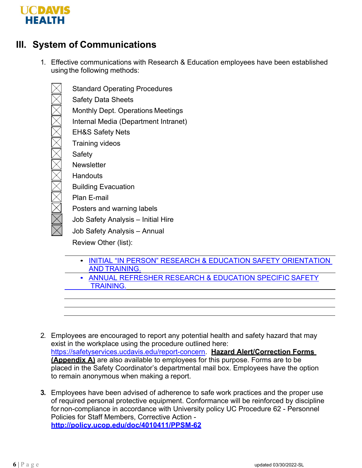

## **III. System of Communications**

1. Effective communications with Research & Education employees have been established using the following methods:

Standard Operating Procedures Safety Data Sheets Monthly Dept. Operations Meetings Internal Media (Department Intranet) EH&S Safety Nets Training videos **Safety Newsletter Handouts** Building Evacuation Plan E-mail Posters and warning labels Job Safety Analysis – Initial Hire Job Safety Analysis – Annual

Review Other (list):

- [INITIAL "IN PERSON" RESEARCH & EDUCATION SAFETY](https://ucdavis.app.box.com/s/x0q2bwycvtp8tyt79x4yj8ozylit6opn) ORIENTATION AND [TRAINING.](https://ucdavis.app.box.com/s/x0q2bwycvtp8tyt79x4yj8ozylit6opn)
- [ANNUAL REFRESHER RESEARCH & EDUCATION SPECIFIC](https://health.ucdavis.edu/medresearch/safety/Documents/7.2_Annual_Safety_Training_Summary.pdf) SAFETY  [TRAINING.](https://health.ucdavis.edu/medresearch/safety/Documents/7.2_Annual_Safety_Training_Summary.pdf)
- 2. Employees are encouraged to report any potential health and safety hazard that may exist in the workplace using the procedure outlined here: [https://safetyservices.ucdavis.edu/report-concern.](https://safetyservices.ucdavis.edu/report-concern) **Hazard Alert/Correction Forms (Appendix A)** are also available to employees for this purpose. Forms are to be placed in the Safety Coordinator's departmental mail box. Employees have the option to remain anonymous when making a report.
- **3.** Employees have been advised of adherence to safe work practices and the proper use of required personal protective equipment. Conformance will be reinforced by discipline for non-compliance in accordance with University policy UC Procedure 62 - Personnel Policies for Staff Members, Corrective Action **<http://policy.ucop.edu/doc/4010411/PPSM-62>**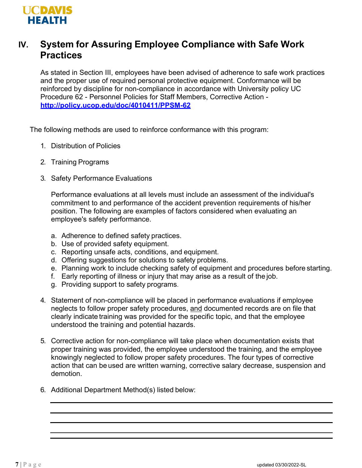

## **IV. System for Assuring Employee Compliance with Safe Work Practices**

As stated in Section III, employees have been advised of adherence to safe work practices and the proper use of required personal protective equipment. Conformance will be reinforced by discipline for non-compliance in accordance with University policy UC Procedure 62 - Personnel Policies for Staff Members, Corrective Action **<http://policy.ucop.edu/doc/4010411/PPSM-62>**

The following methods are used to reinforce conformance with this program:

- 1. Distribution of Policies
- 2. Training Programs
- 3. Safety Performance Evaluations

Performance evaluations at all levels must include an assessment of the individual's commitment to and performance of the accident prevention requirements of his/her position. The following are examples of factors considered when evaluating an employee's safety performance.

- a. Adherence to defined safety practices.
- b. Use of provided safety equipment.
- c. Reporting unsafe acts, conditions, and equipment.
- d. Offering suggestions for solutions to safety problems.
- e. Planning work to include checking safety of equipment and procedures before starting.
- f. Early reporting of illness or injury that may arise as a result of the job.
- g. Providing support to safety programs.
- 4. Statement of non-compliance will be placed in performance evaluations if employee neglects to follow proper safety procedures, and documented records are on file that clearly indicate training was provided for the specific topic, and that the employee understood the training and potential hazards.
- 5. Corrective action for non-compliance will take place when documentation exists that proper training was provided, the employee understood the training, and the employee knowingly neglected to follow proper safety procedures. The four types of corrective action that can be used are written warning, corrective salary decrease, suspension and demotion.
- 6. Additional Department Method(s) listed below: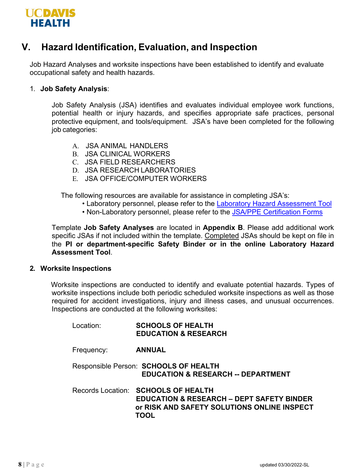

## **V. Hazard Identification, Evaluation, and Inspection**

Job Hazard Analyses and worksite inspections have been established to identify and evaluate occupational safety and health hazards.

#### 1. **Job Safety Analysis**:

Job Safety Analysis (JSA) identifies and evaluates individual employee work functions, potential health or injury hazards, and specifies appropriate safe practices, personal protective equipment, and tools/equipment. JSA's have been completed for the following job categories:

- A. JSA ANIMAL HANDLERS
- B. JSA CLINICAL WORKERS
- C. JSA FIELD RESEARCHERS
- D. JSA RESEARCH LABORATORIES
- E. JSA OFFICE/COMPUTER WORKERS

The following resources are available for assistance in completing JSA's:

- Laboratory personnel, please refer to the [Laboratory Hazard Assessment Tool](https://safetyservices.ucdavis.edu/article/hazard-assessment-tool)
- Non-Laboratory personnel, please refer to the [JSA/PPE Certification Forms](https://safetyservices.ucdavis.edu/article/injury-illness-prevention-program-iipp#NonLabJSA)

Template **Job Safety Analyses** are located in **Appendix B**. Please add additional work specific JSAs if not included within the template. Completed JSAs should be kept on file in the **PI or department-specific Safety Binder or in the online Laboratory Hazard Assessment Tool**.

#### **2. Worksite Inspections**

Worksite inspections are conducted to identify and evaluate potential hazards. Types of worksite inspections include both periodic scheduled worksite inspections as well as those required for accident investigations, injury and illness cases, and unusual occurrences. Inspections are conducted at the following worksites:

| Location:  | <b>SCHOOLS OF HEALTH</b><br><b>EDUCATION &amp; RESEARCH</b>                                                                                        |
|------------|----------------------------------------------------------------------------------------------------------------------------------------------------|
| Frequency: | <b>ANNUAL</b>                                                                                                                                      |
|            | Responsible Person: SCHOOLS OF HEALTH<br><b>EDUCATION &amp; RESEARCH -- DEPARTMENT</b>                                                             |
|            | Records Location: SCHOOLS OF HEALTH<br><b>EDUCATION &amp; RESEARCH - DEPT SAFETY BINDER</b><br>or RISK AND SAFETY SOLUTIONS ONLINE INSPECT<br>TOOL |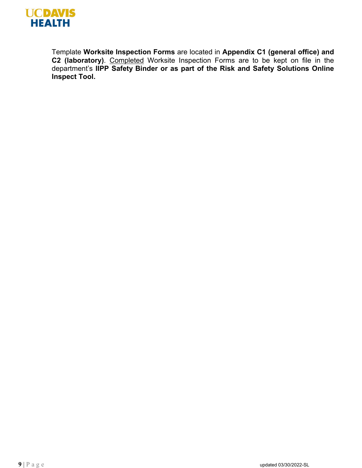

Template **Worksite Inspection Forms** are located in **Appendix C1 (general office) and C2 (laboratory)**. Completed Worksite Inspection Forms are to be kept on file in the department's **IIPP Safety Binder or as part of the Risk and Safety Solutions Online Inspect Tool.**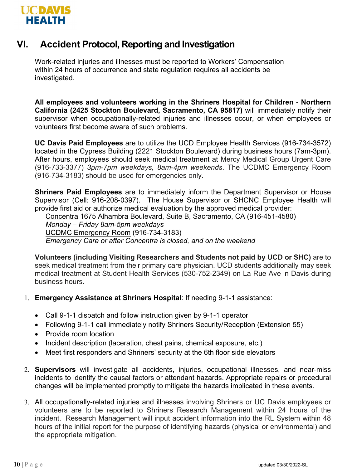

#### **VI. Accident Protocol, Reporting and Investigation**

Work-related injuries and illnesses must be reported to Workers' Compensation within 24 hours of occurrence and state regulation requires all accidents be investigated.

**All employees and volunteers working in the Shriners Hospital for Children** - **Northern California (2425 Stockton Boulevard, Sacramento, CA 95817)** will immediately notify their supervisor when occupationally-related injuries and illnesses occur, or when employees or volunteers first become aware of such problems.

**UC Davis Paid Employees** are to utilize the UCD Employee Health Services (916-734-3572) located in the Cypress Building (2221 Stockton Boulevard) during business hours (7am-3pm). After hours, employees should seek medical treatment at Mercy Medical Group Urgent Care (916-733-3377) *3pm-7pm weekdays, 8am-4pm weekends*. The UCDMC Emergency Room (916-734-3183) should be used for emergencies only.

**Shriners Paid Employees** are to immediately inform the Department Supervisor or House Supervisor (Cell: 916-208-0397). The House Supervisor or SHCNC Employee Health will provide first aid or authorize medical evaluation by the approved medical provider:

Concentra 1675 Alhambra Boulevard, Suite B, Sacramento, CA (916-451-4580)

*Monday – Friday 8am-5pm weekdays*

UCDMC Emergency Room (916-734-3183)

*Emergency Care or after Concentra is closed, and on the weekend*

**Volunteers (including Visiting Researchers and Students not paid by UCD or SHC)** are to seek medical treatment from their primary care physician. UCD students additionally may seek medical treatment at Student Health Services (530-752-2349) on La Rue Ave in Davis during business hours.

- 1. **Emergency Assistance at Shriners Hospital**: If needing 9-1-1 assistance:
	- Call 9-1-1 dispatch and follow instruction given by 9-1-1 operator
	- Following 9-1-1 call immediately notify Shriners Security/Reception (Extension 55)
	- Provide room location
	- Incident description (laceration, chest pains, chemical exposure, etc.)
	- Meet first responders and Shriners' security at the 6th floor side elevators
- 2. **Supervisors** will investigate all accidents, injuries, occupational illnesses, and near-miss incidents to identify the causal factors or attendant hazards. Appropriate repairs or procedural changes will be implemented promptly to mitigate the hazards implicated in these events.
- 3. All occupationally-related injuries and illnesses involving Shriners or UC Davis employees or volunteers are to be reported to Shriners Research Management within 24 hours of the incident. Research Management will input accident information into the RL System within 48 hours of the initial report for the purpose of identifying hazards (physical or environmental) and the appropriate mitigation.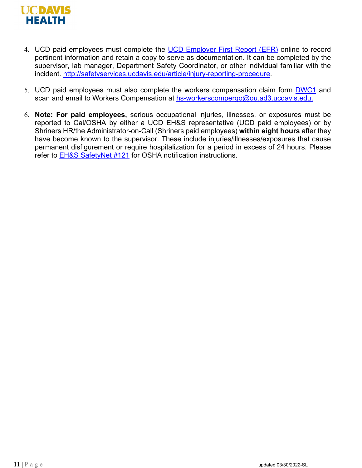

- 4. UCD paid employees must complete the [UCD Employer First Report \(EFR\)](https://ehs.ucop.edu/efr/home) online to record pertinent information and retain a copy to serve as documentation. It can be completed by the supervisor, lab manager, Department Safety Coordinator, or other individual familiar with the incident. [http://safetyservices.ucdavis.edu/article/injury-reporting-procedure.](http://safetyservices.ucdavis.edu/article/injury-reporting-procedure)
- 5. UCD paid employees must also complete the workers compensation claim form [DWC1](https://ucdavis.app.box.com/s/ngsmmxl7tso6e1d8ijb6jhiugt288w5b) and scan and email to Workers Compensation at [hs-workerscompergo@ou.ad3.ucdavis.edu.](mailto:hs-workerscompergo@ou.ad3.ucdavis.edu)
- 6. **Note: For paid employees,** serious occupational injuries, illnesses, or exposures must be reported to Cal/OSHA by either a UCD EH&S representative (UCD paid employees) or by Shriners HR/the Administrator-on-Call (Shriners paid employees) **within eight hours** after they have become known to the supervisor. These include injuries/illnesses/exposures that cause permanent disfigurement or require hospitalization for a period in excess of 24 hours. Please refer to **EH&S SafetyNet #121** for OSHA notification instructions.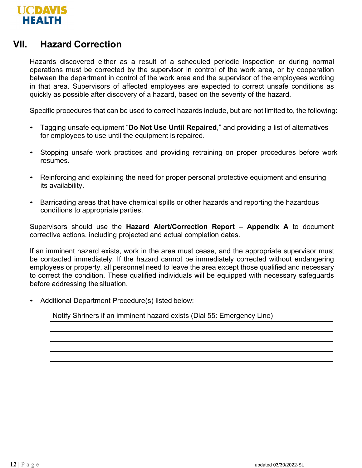

#### **VII. Hazard Correction**

Hazards discovered either as a result of a scheduled periodic inspection or during normal operations must be corrected by the supervisor in control of the work area, or by cooperation between the department in control of the work area and the supervisor of the employees working in that area. Supervisors of affected employees are expected to correct unsafe conditions as quickly as possible after discovery of a hazard, based on the severity of the hazard.

Specific procedures that can be used to correct hazards include, but are not limited to, the following:

- Tagging unsafe equipment "**Do Not Use Until Repaired**," and providing a list of alternatives for employees to use until the equipment is repaired.
- Stopping unsafe work practices and providing retraining on proper procedures before work resumes.
- Reinforcing and explaining the need for proper personal protective equipment and ensuring its availability.
- Barricading areas that have chemical spills or other hazards and reporting the hazardous conditions to appropriate parties.

Supervisors should use the **Hazard Alert/Correction Report – Appendix A** to document corrective actions, including projected and actual completion dates.

If an imminent hazard exists, work in the area must cease, and the appropriate supervisor must be contacted immediately. If the hazard cannot be immediately corrected without endangering employees or property, all personnel need to leave the area except those qualified and necessary to correct the condition. These qualified individuals will be equipped with necessary safeguards before addressing the situation.

• Additional Department Procedure(s) listed below:

Notify Shriners if an imminent hazard exists (Dial 55: Emergency Line)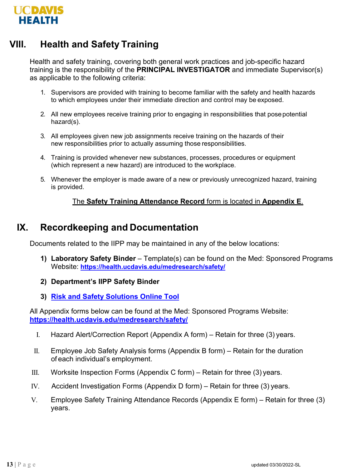

## **VIII. Health and Safety Training**

Health and safety training, covering both general work practices and job-specific hazard training is the responsibility of the **PRINCIPAL INVESTIGATOR** and immediate Supervisor(s) as applicable to the following criteria:

- 1. Supervisors are provided with training to become familiar with the safety and health hazards to which employees under their immediate direction and control may be exposed.
- 2. All new employees receive training prior to engaging in responsibilities that posepotential hazard(s).
- 3. All employees given new job assignments receive training on the hazards of their new responsibilities prior to actually assuming those responsibilities.
- 4. Training is provided whenever new substances, processes, procedures or equipment (which represent a new hazard) are introduced to the workplace.
- 5. Whenever the employer is made aware of a new or previously unrecognized hazard, training is provided.

#### The **Safety Training Attendance Record** form is located in **Appendix E**.

#### **IX. Recordkeeping and Documentation**

Documents related to the IIPP may be maintained in any of the below locations:

- **1) Laboratory Safety Binder**  Template(s) can be found on the Med: Sponsored Programs Website: **<https://health.ucdavis.edu/medresearch/safety/>**
- **2) Department's IIPP Safety Binder**
- **3) [Risk and Safety Solutions Online Tool](https://ehs.ucop.edu/)**

All Appendix forms below can be found at the Med: Sponsored Programs Website: **<https://health.ucdavis.edu/medresearch/safety/>**

- I. Hazard Alert/Correction Report (Appendix A form) Retain for three (3) years.
- II. Employee Job Safety Analysis forms (Appendix B form) Retain for the duration of each individual's employment.
- III. Worksite Inspection Forms (Appendix C form) Retain for three  $(3)$  years.
- IV. Accident Investigation Forms (Appendix D form) Retain for three (3) years.
- V. Employee Safety Training Attendance Records (Appendix E form) Retain for three (3) years.